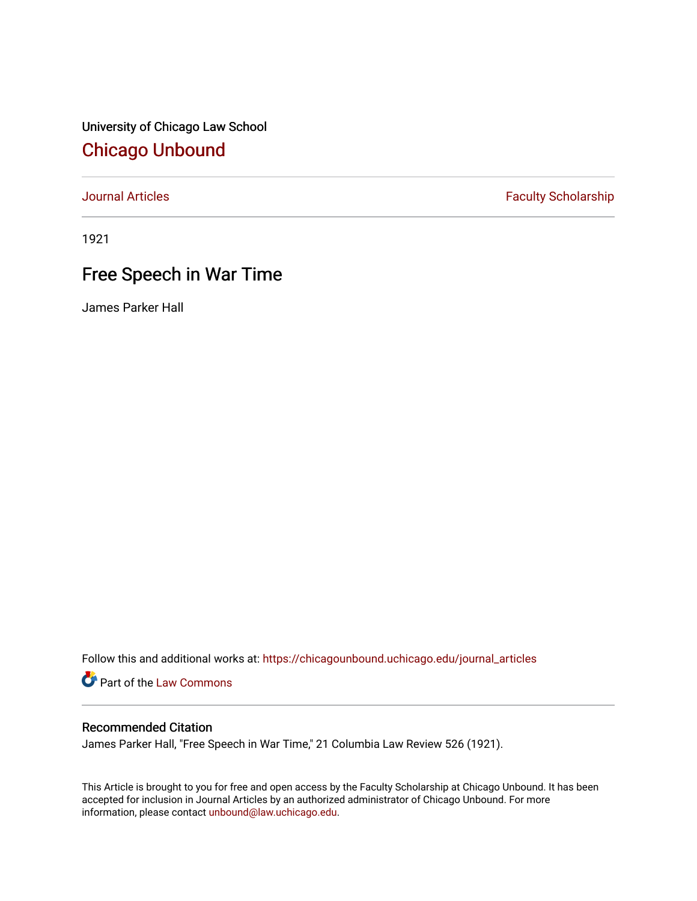University of Chicago Law School [Chicago Unbound](https://chicagounbound.uchicago.edu/)

[Journal Articles](https://chicagounbound.uchicago.edu/journal_articles) **Faculty Scholarship Faculty Scholarship** 

1921

## Free Speech in War Time

James Parker Hall

Follow this and additional works at: [https://chicagounbound.uchicago.edu/journal\\_articles](https://chicagounbound.uchicago.edu/journal_articles?utm_source=chicagounbound.uchicago.edu%2Fjournal_articles%2F9129&utm_medium=PDF&utm_campaign=PDFCoverPages) 

Part of the [Law Commons](http://network.bepress.com/hgg/discipline/578?utm_source=chicagounbound.uchicago.edu%2Fjournal_articles%2F9129&utm_medium=PDF&utm_campaign=PDFCoverPages)

## Recommended Citation

James Parker Hall, "Free Speech in War Time," 21 Columbia Law Review 526 (1921).

This Article is brought to you for free and open access by the Faculty Scholarship at Chicago Unbound. It has been accepted for inclusion in Journal Articles by an authorized administrator of Chicago Unbound. For more information, please contact [unbound@law.uchicago.edu](mailto:unbound@law.uchicago.edu).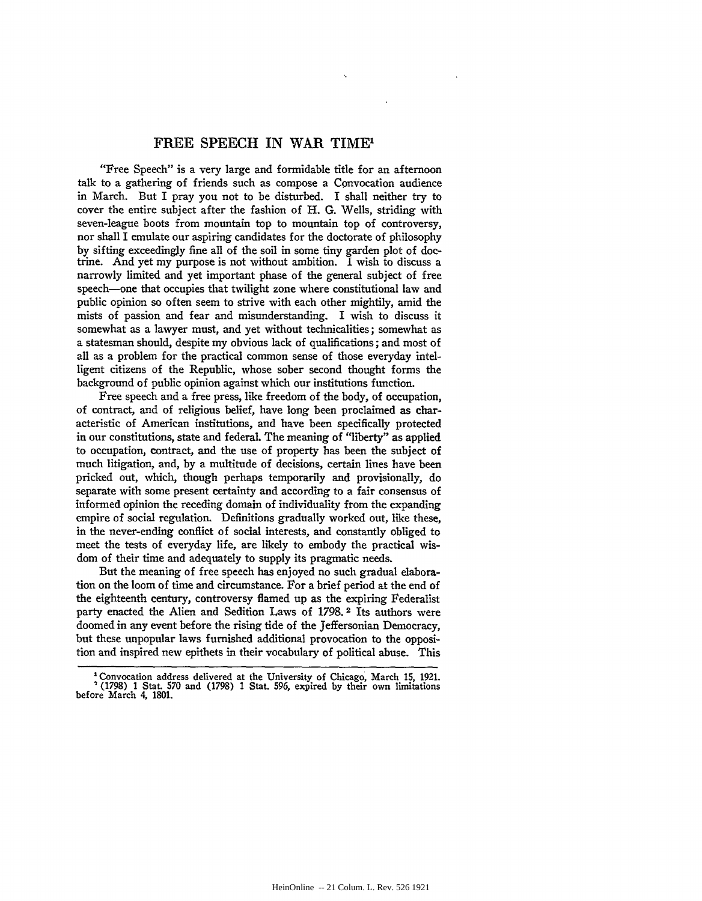## FREE **SPEECH** IN WAR TIME1

"Free Speech" is a very large and formidable title for an afternoon talk to a gathering of friends such as compose a Convocation audience in March. But I pray you not to be disturbed. I shall neither try to cover the entire subject after the fashion of H. G. Wells, striding with seven-league boots from mountain top to mountain top of controversy, nor shall I emulate our aspiring candidates for the doctorate of philosophy by sifting exceedingly fine all of the soil in some tiny garden plot of doctrine. And yet my purpose is not without ambition. I wish to discuss a narrowly limited and yet important phase of the general subject of free speech-one that occupies that twilight zone where constitutional law and public opinion so often seem to strive with each other mightily, amid the mists of passion and fear and misunderstanding. I wish to discuss it somewhat as a lawyer must, and yet without technicalities; somewhat as a statesman should, despite my obvious lack of qualifications; and most of all as a problem for the practical common sense of those everyday intelligent citizens of the Republic, whose sober second thought forms the background of public opinion against which our institutions function.

Free speech and a free press, like freedom of the body, of occupation, of contract, and of religious belief, have long been proclaimed as characteristic of American institutions, and have been specifically protected in our constitutions, state and federal. The meaning of "liberty" as applied to occupation, contract, and the use of property has been the subject of much litigation, and, by a multitude of decisions, certain lines have been pricked out, which, though perhaps temporarily and provisionally, do separate with some present certainty and according to a fair consensus of informed opinion the receding domain of individuality from the expanding empire of social regulation. Definitions gradually worked out, like these, in the never-ending conflict of social interests, and constantly obliged to meet the tests of everyday life, are likely to embody the practical wisdom of their time and adequately to supply its pragmatic needs.

But the meaning of free speech has enjoyed no such gradual elaboration on the loom of time and circumstance. For a brief period at the end of the eighteenth century, controversy flamed up as the expiring Federalist party enacted the Alien and Sedition Laws of 1798. **2** Its authors were doomed in any event before the rising tide of the Jeffersonian Democracy, but these unpopular laws furnished additional provocation to the opposition and inspired new epithets in their vocabulary of political abuse. This

<sup>&#</sup>x27;Convocation address delivered at the University of Chicago, March **15, 1921. (1798)** 1 Stat. **570** and **(1798) 1** Stat. **596,** expired **by** their own limitations before March 4, **1801.**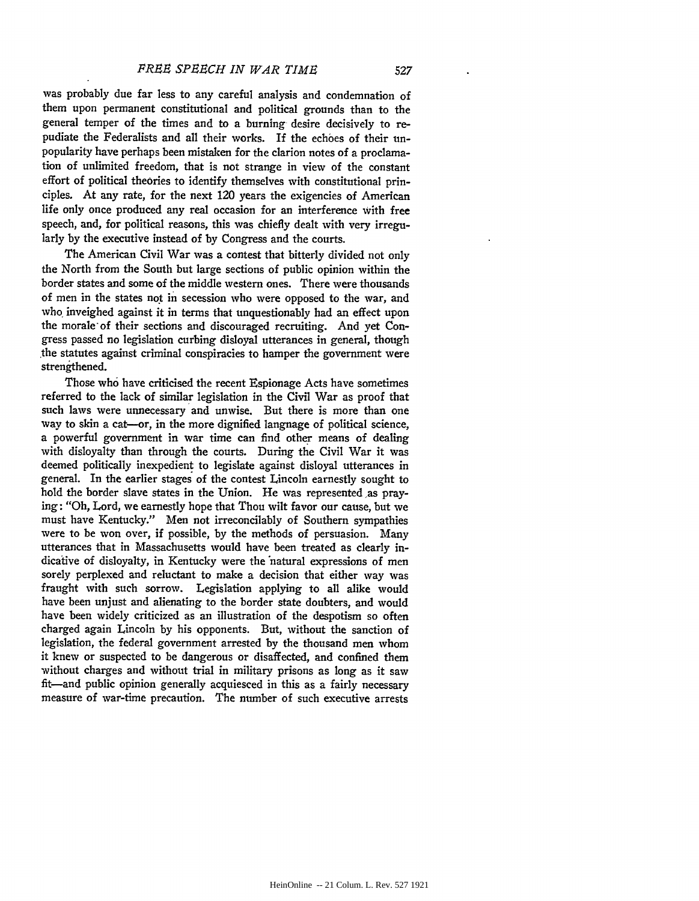was probably due far less to any careful analysis and condemnation of them upon permanent constitutional and political grounds than to the general temper of the times and to a burning desire decisively to repudiate the Federalists and all their works. If the echoes of their unpopularity have perhaps been mistaken for the clarion notes of a proclamation of unlimited freedom, that is not strange in view of the constant effort of political theories to identify themselves with constitutional principles. At any rate, for the next 120 years the exigencies of American life only once produced any real occasion for an interference with free speech, and, for political reasons, this was chiefly dealt with very irregularly **by** the executive instead of **by** Congress and the courts.

The American Civil War was a contest that bitterly divided not only the North from the South but large sections of public opinion within the border states and some of the middle western ones. There were thousands of men in the states not in secession who were opposed to the war, and who inveighed against it in terms that unquestionably had an effect upon the morale-of their sections and discouraged recruiting. And yet Congress passed no legislation curbing disloyal utterances in general, though the statutes against criminal conspiracies to hamper the government were strengthened.

Those who have criticised the recent Espionage Acts have sometimes referred to the lack of similar legislation in the Civil War as proof that such laws were unnecessary and unwise. But there is more than one way to skin a cat-or, in the more dignified language of political science, a powerful government in war time can find other means of dealing with disloyalty than through the courts. During the Civil War it was deemed politically inexpedient to legislate against disloyal utterances in general. In the earlier stages of the contest Lincoln earnestly sought to hold the border slave states in the Union. He was represented as praying: "Oh, Lord, we earnestly hope that Thou wilt favor our cause, but we must have Kentucky." Men not irreconcilably of Southern sympathies were to be won over, if possible, **by** the methods of persuasion. Many utterances that in Massachusetts would have been treated as clearly indicative of disloyalty, in Kentucky were the 'natural expressions of men sorely perplexed and reluctant to make a decision that either way was fraught with such sorrow. Legislation applying to all alike would have been unjust and alienating to the border state doubters, and would have been widely criticized as an illustration of the despotism so often charged again Lincoln **by** his opponents. But, without the sanction of legislation, the federal government arrested **by** the thousand men whom it knew or suspected to be dangerous or disaffected, and confined them without charges and without trial in military prisons as long as it saw fit-and public opinion generally acquiesced in this as a fairly necessary measure of war-time precaution. The number of such executive arrests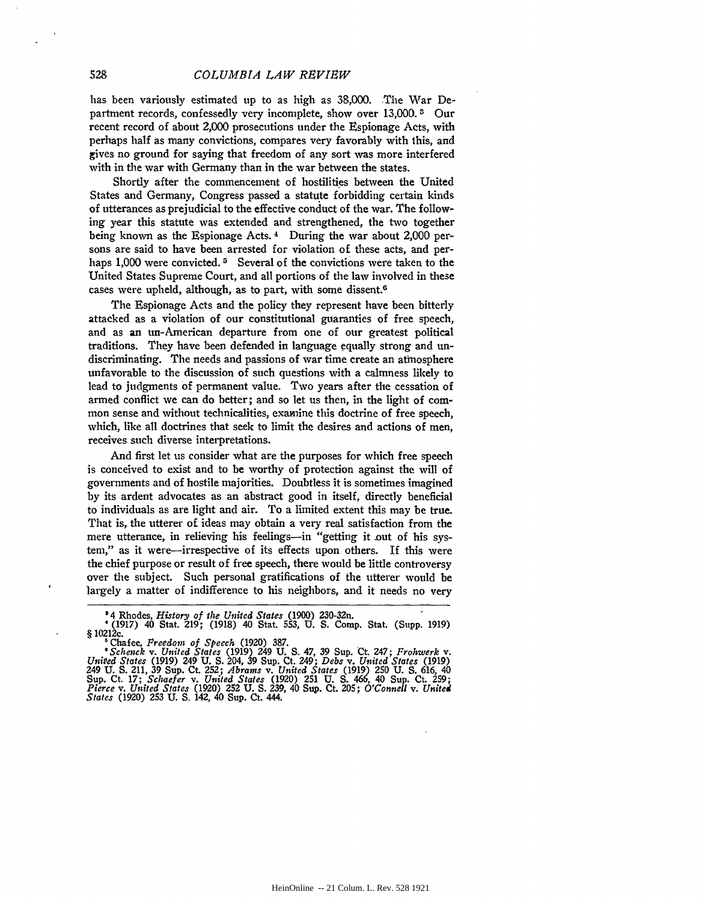has been variously estimated up to as high as **38,000.** The *War* Department records, confessedly very incomplete, show over **13,000. 3** Our recent record of about 2,000 prosecutions under the Espionage Acts, with perhaps half as many convictions, compares very favorably with this, and gives no ground for saying that freedom of any sort was more interfered with in the war with Germany than in the war between the states.

Shortly after the commencement of hostilities between the United States and Germany, Congress passed a statute forbidding certain kinds of utterances as prejudicial to the effective conduct of the war. The following year this statute was extended and strengthened, the two together being known as the Espionage Acts. 4 During the **war** about 2,000 persons are said to have been arrested for violation of these acts, and perhaps **1,000** were convicted. **5** Several of the convictions were taken to the United States Supreme Court, and all portions of the law involved in these cases were upheld, although, as to part, with some dissent. <sup>6</sup>

The Espionage Acts and the policy they represent have been bitterly attacked as a violation of our constitutional guaranties of free speech, and as an un-American departure from one of our greatest political traditions. They have been defended in language equally strong and undiscriminating. The needs and passions of war time create an atmosphere unfavorable to the discussion of such questions with a calmness likely to lead to judgments **of** permanent value. Two years after the cessation of armed conflict we can do better; and so let us then, in the light of common sense and without technicalities, examine this doctrine of free speech, which, like all doctrines that seek to limit the desires and actions of men, receives such diverse interpretations.

And first let **us** consider what are the purposes for which free speech is conceived to exist and to be worthy of protection against the will of governments and of hostile majorities. Doubtless it is sometimes imagined **by** its ardent advocates as an abstract good in itself, directly beneficial to individuals as are light and air. To a limited extent this may be true. That is, the utterer of ideas may obtain a very real satisfaction from the mere utterance, in relieving his feelings-in "getting it out of his system," as it were-irrespective of its effects upon others. If this were the chief purpose or result of free speech, there would be little controversy over the subject. Such personal gratifications of the utterer would be largely a matter of indifference to his neighbors, and it needs no very

<sup>&#</sup>x27;4 Rhodes, *History of the United States* **(1900)** 230-32n.

<sup>4</sup>**(1917)** 40 Stat. **219; (1918)** 40 Stat. **553, U. S.** Comp. Stat. (Supp. 1919) **§** 10212c.

<sup>&#</sup>x27;Chafee, *Freedom of Speech* (1920) 387.

<sup>&</sup>lt;sup>•</sup> Schenck v. United States (1919) 249 U. S. 47, 39 Sup. Ct. 247; Frohwerk v. United States (1919) 249 U. S. 204, 39 Sup. Ct. 249; Debs v. United States (1919) 249 U. S. 204, 39 Sup. Ct. 249; Debs v. United States (1919) Sup. Ct. **17;** *Schaefer v. United States* **(1920) 251 U. S.** 466, 40 Sup. Ct. **259;** *Pierce v. United States* (1920) **252 U. S. 239,** 40 Sup. Ct. **205;** *O'Connell v. United States* **(1920) 253 U. S.** 142, 40 Sup. Ct. 444.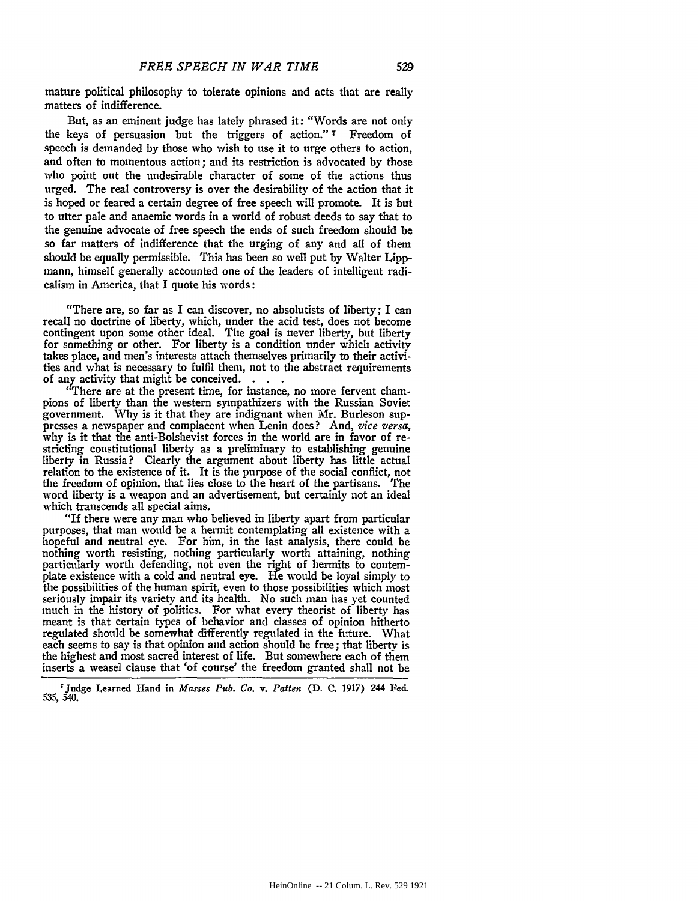mature political philosophy to tolerate opinions and acts that are really matters of indifference.

But, as an eminent judge has lately phrased it: "Words are not only the keys of persuasion but the triggers of action." 7 Freedom of speech is demanded by those who wish to use it to urge others to action, and often to momentous action; and its restriction is advocated by those who point out the undesirable character of some of the actions thus urged. The real controversy is over the desirability of the action that it is hoped or feared a certain degree of free speech will promote. It is but to utter pale and anaemic words in a world of robust deeds to say that to the genuine advocate of free speech the ends of such freedom should be so far matters of indifference that the urging of any and all of them should be equally permissible. This has been so well put by Walter Lippmann, himself generally accounted one of the leaders of intelligent radicalism in America, that I quote his words:

"There are, so far as I can discover, no absolutists of liberty; I can recall no doctrine of liberty, which, under the acid test, does not become contingent upon some other ideal. The goal is never liberty, but liberty for something or other. For liberty is a condition under which activity takes place, and men's interests attach themselves primarily to their activities and what is necessary to fulfil them, not to the abstract requirements of any activity that might be conceived **. ..**

"There are at the present time, for instance, no more fervent champions of liberty than the western sympathizers with the Russian Soviet government. Why is it that they are indignant when Mr. Burleson suppresses a newspaper and complacent when Lenin does? And, vice versa, why is it that the anti-Bolshevist forces in the world are in favor of restricting constitutional liberty as a preliminary to establishing genuine liberty in Russia? Clearly the argument about liberty has little actual relation to the existence of it. It is the purpose of the social conflict, not the freedom of opinion, that lies close to the heart of the partisans. The word liberty is a weapon and an advertisement, but certainly not an ideal which transcends all special aims.

"If there were any man who believed in liberty apart from particular purposes, that man would be a hermit contemplating all existence with a hopeful and neutral eye. For him, in the last analysis, there could be nothing worth resisting, nothing particularly worth attaining, nothing particularly worth defending, not even the right of hermits to contemplate existence with a cold and neutral eye. He would be loyal simply to the possibilities of the human spirit, even to those possibilities which most seriously impair its variety and its health. No such man has yet counted much in the history of politics. For what every theorist of liberty has meant is that certain types of behavior and classes of opinion hitherto regulated should be somewhat differently regulated in the future. What each seems to say is that opinion and action should be free; that liberty is the highest and most sacred interest of life. But somewhere each of them inserts a weasel clause that 'of course' the freedom granted shall not be

Judge Learned Hand in *Masses Pub. Co. v. Patten* **(D. C. 1917) 244** Fed. **535,** 540.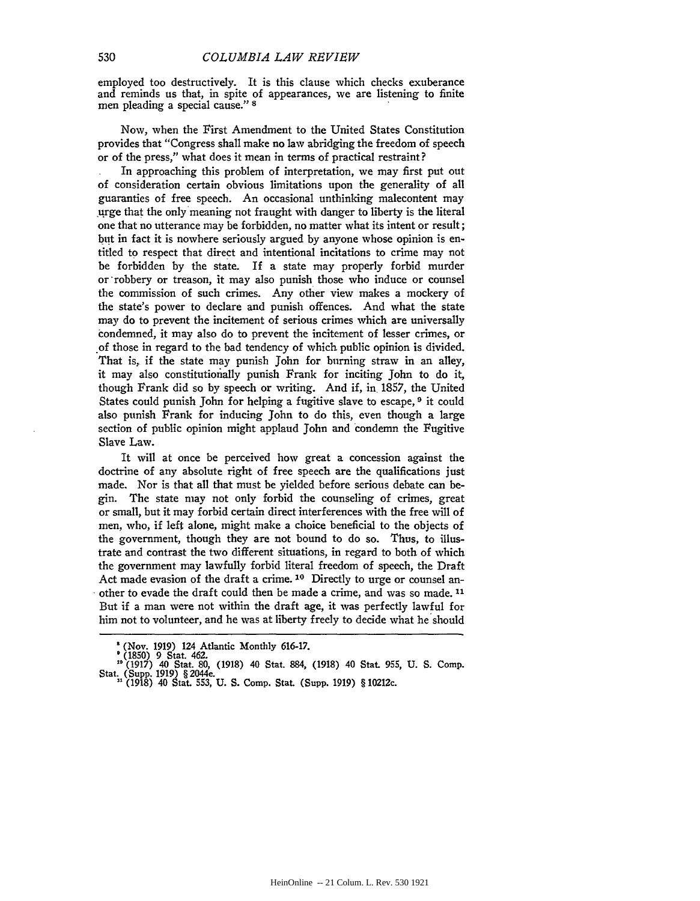employed too destructively. It is this clause which checks exuberance and reminds us that, in spite of appearances, we are listening to finite men pleading a special cause." **8**

Now, when the First Amendment to the United States Constitution provides that "Congress shall make no law abridging the freedom of speech or of the press," what does it mean in terms of practical restraint?

In approaching this problem of interpretation, we may first put out of consideration certain obvious limitations upon the generality of all guaranties of free speech. An occasional unthinking malecontent may urge that the only'meaning not fraught with danger to liberty is the literal one that no utterance may be forbidden, no matter what its intent or result; but in fact it is nowhere seriously argued **by** anyone whose opinion is entitled to respect that direct and intentional incitations to crime may not be forbidden **by** the state. If a state may properly forbid murder or'robbery or treason, it may also punish those who induce or counsel the commission of such crimes. Any other view makes a mockery of the state's power to declare and punish offences. And what the state may do to prevent the incitement of serious crimes which are universally condemned, it may also do to prevent the incitement of lesser crimes, or **.of** those in regard to the bad tendency of which public opinion is divided. That **is,** if the state may punish John for burning straw in an alley, it may also constitutionally punish Frank for inciting John to do it, though Frank did so **by** speech or writing. And if, in, **1857,** the United States could punish John for helping a fugitive slave to escape, 9 it could also punish Frank for inducing John to do this, even though a large section of public opinion might applaud John and condemn the Fugitive Slave Law.

It will at once be perceived how great a concession against the doctrine of any absolute right of free speech are the qualifications just made. Nor is that all that must be yielded before serious debate can begin. The state **may** not only forbid the counseling of crimes, great or small, but it may forbid certain direct interferences with the free will of men, who, if left alone, might make a choice beneficial to the objects of the government, though they are not bound to do so. Thus, to illustrate and contrast the two different situations, in regard to both of which the government may lawfully forbid literal freedom of speech, the Draft Act made evasion of the draft a crime. **3o** Directly to urge or counsel another to evade the draft could then be made a crime, and was so made. **11** But if a man were not within the draft age, it was perfectly lawful for him not to volunteer, and he was at liberty freely to decide what he should

**S** (Nov. **1919)** 124 Atlantic Monthly **616-17.**

<sup>\*</sup> **(1850) 9** Stat. 462. **(1917)** 40 Stat. **80, (1918)** 40 Stat. **884, (1918)** 40 Stat. **955, U. S.** Comp. Stat. (Supp. **1919) §** 2044e. **1 (1918)** 40 Stat. **553, U. S.** Comp. Stat. (Supp. **1919) §** 10212c.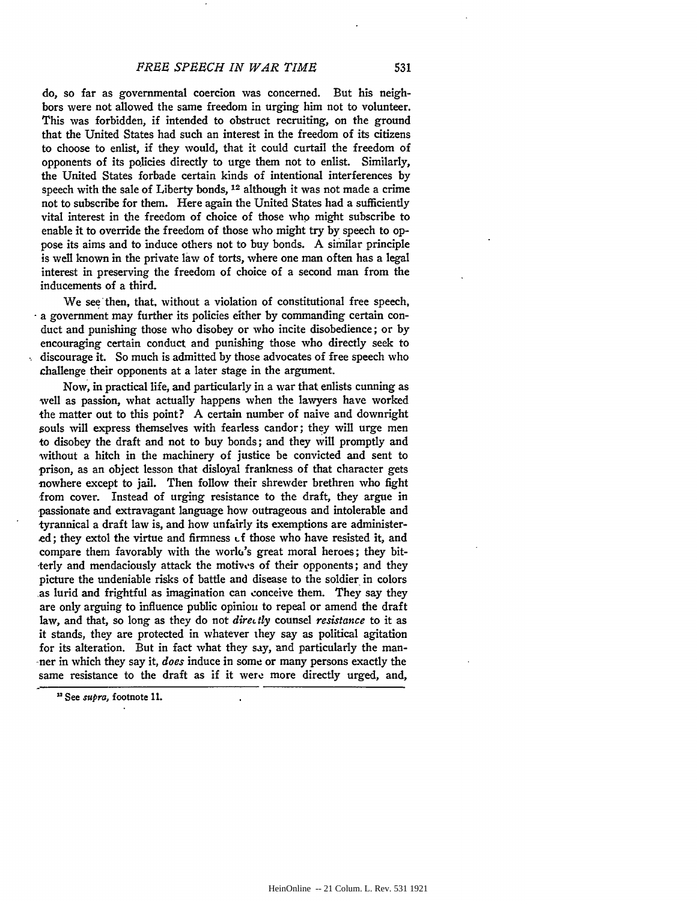do, so far as governmental coercion was concerned. But his neighbors were not allowed the same freedom in urging him not to volunteer. This was forbidden, if intended to obstruct recruiting, on the ground that the United States had such an interest in the freedom of its citizens to choose to enlist, if they would, that it could curtail the freedom of opponents of its policies directly to urge them not to enlist. Similarly, the United States forbade certain kinds of intentional interferences **by** speech with the sale of Liberty bonds, **12** although it was not made a crime not to subscribe for them. Here again the United States had a sufficiently vital interest in the freedom of choice of those who might subscribe to enable it to override the freedom of those who might try **by** speech to oppose its aims and to induce others not to buy bonds. **A** similar principle is well known in the private law of torts, where one man often has a legal interest in preserving the freedom of choice of a second man from the inducements of a third.

We see then, that, without a violation of constitutional free speech, a government may further its policies either **by** commanding certain conduct and punishing those who disobey or who incite disobedience; or **by** encouraging certain conduct and punishing those who directly seek to discourage it. So much is admitted **by** those advocates of free speech who challenge their opponents at a later stage in the argument.

Now, in practical life, and particularly in a war that enlists cunning as well as passion, what actually happens when the lawyers have worked the matter out to this point? **A** certain number of naive and downright **souls** will express themselves with fearless candor; they will urge men to disobey the draft and not to buy bonds; and they will promptly and without a hitch in the machinery of justice be convicted and sent to prison, as an object lesson that disloyal frankness of that character gets -nowhere except to jail. Then follow their shrewder brethren who fight -from cover. Instead of urging resistance to the draft, they argue in -passionate and extravagant language how outrageous and intolerable and -tyrannical a draft law is, and how unfairly its exemptions are administer- ,ed; they extol the virtue and firmness **-f** those who have resisted it, and compare them favorably with the world's great moral heroes; they bitterly and mendaciously attack the motives of their opponents; and they picture the undeniable risks of battle and disease to the soldier in colors as lurid and frightful as imagination can conceive them. They say they are only arguing to influence public opinion to repeal or amend the draft law, and that, so long as they do not *directly* counsel *resistance* to it as it stands, they are protected in whatever they say as political agitation for its alteration. But in fact what they say, and particularly the man- -ner in which they say it, *does* induce in some or many persons exactly the same resistance to the draft as if it were more directly urged, and,

u See *supra,* footnote **11.**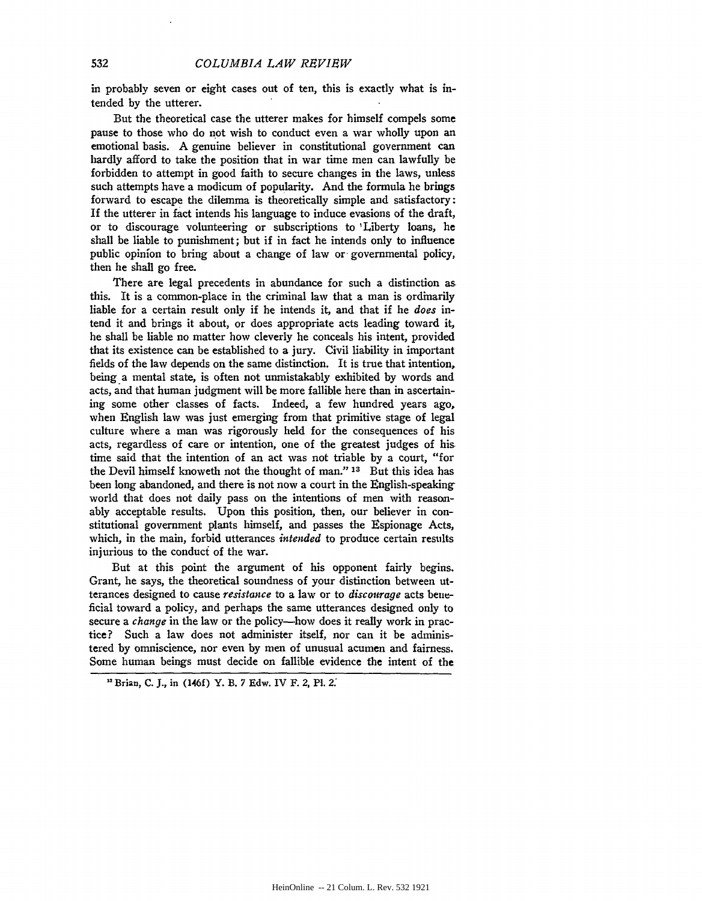in probably seven or eight cases out of ten, this is exactly what is intended **by** the utterer.

But the theoretical case the utterer makes for himself compels some pause to those who do not wish to conduct even a war wholly upon an emotional basis. **A** genuine believer in constitutional government can hardly afford to take the position that in war time men can lawfully **be** forbidden to attempt in good faith to secure changes in the laws, unless such attempts have a modicum of popularity. And the formula he brings forward to escape the dilemma is theoretically simple and satisfactory: If the utterer in fact intends his language to induce evasions of the draft, or to discourage volunteering or subscriptions to !Liberty loans, he shall be liable to punishment; but if in fact he intends only to influence public opinion to bring about a change of law or governmental policy, then he shall go free.

There are legal precedents in abundance for such a distinction as this. It is a common-place in the criminal law that a man is ordinarily liable for a certain result only if he intends it, and that if he *does* intend it and brings it about, or does appropriate acts leading toward it, he shall be liable no matter how cleverly he conceals his intent, provided that its existence can be established to a jury. Civil liability in important fields of the law depends on the same distinction. It is true that intention, being a mental state, is often not unmistakably exhibited by words and acts, and that human judgment will be more fallible here than in ascertaining some other classes of facts. Indeed, a few hundred years ago, when English law was just emerging from that primitive stage of legal culture where a man was rigorously held for the consequences of his acts, regardless of care or intention, one of the greatest judges of his. time said that the intention of an act was not triable **by** a court, "for the Devil himself knoweth not the thought of man." **13** But this idea has been long abandoned, and there is not now a court in the English-speaking world that does not daily pass on the intentions of men with reasonably acceptable results. Upon this position, then, our believer in constitutional government plants himself, and passes the Espionage Acts, which, in the main, forbid utterances *intended* to produce certain results injurious to the conduct of the war.

But at this point the argument of his opponent fairly begins. Grant, he says, the theoretical soundness of your distinction between utterances designed to cause *resistance* to a law or to *discourage* acts beneficial toward a policy, and perhaps the same utterances designed only to secure a *change* in the law or the policy--how does it really work in practice? Such a law does not administer itself, nor can it be administered by omniscience, nor even by men of unusual acumen and fairness. Some human beings must decide on fallible evidence the intent of the

**<sup>&</sup>quot;** Brian, **C.** J., in **(146f)** Y. B. 7 Edw. IV F. 2, P1. **2:**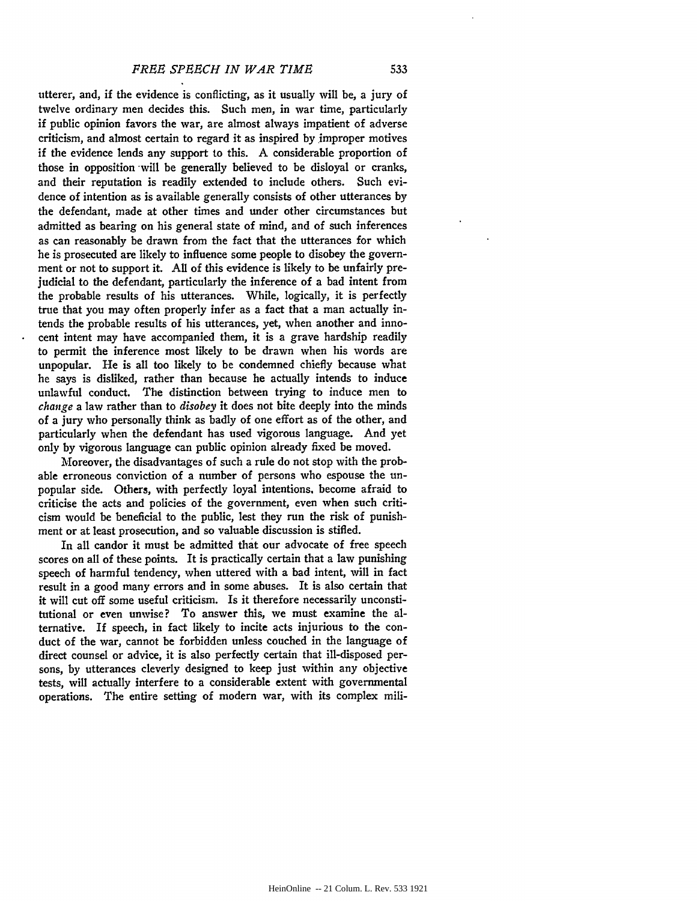utterer, and, if the evidence is conflicting, as it usually will be, a jury of twelve ordinary men decides this. Such men, in war time, particularly if public opinion favors the war, are almost always impatient of adverse criticism, and almost certain to regard it as inspired by improper motives if the evidence lends any support to this. **A** considerable proportion of those in opposition **will** be generally believed to be disloyal or cranks, and their reputation is readily extended to include others. Such evidence of intention as is available generally consists of other utterances **by** the defendant, made at other times and under other circumstances but admitted as bearing on his general state of mind, and of such inferences as can reasonably be drawn from the fact that the utterances for which he is prosecuted are likely to influence some people to disobey the government or not to support it. **All** of this evidence is likely to be unfairly prejudicial to the defendant, particularly the inference of a bad intent from the probable results of his utterances. While, logically, it is perfectly true that you may often properly infer as a fact that a man actually intends the probable results of his utterances, yet, when another and innocent intent may have accompanied them, it is a grave hardship readily to permit the inference most likely to be drawn when his words are unpopular. He is all too likely to be condemned chiefly because what he says is disliked, rather than because he actually intends to induce unlawful conduct. The distinction between trying to induce men to *change* a law rather than to *disobey* it does not bite deeply into the minds of a jury who personally think as badly of one effort as of the other, and particularly when the defendant has used vigorous language. And yet only **by** vigorous language can public opinion already fixed be moved.

Moreover, the disadvantages of such a rule do not stop with the probable erroneous conviction of a number of persons who espouse the unpopular side. Others, with perfectly loyal intentions, become afraid to criticise the acts and policies of the government, even when such criticism would be beneficial to the public, lest they run the risk of punishment or at least prosecution, and so valuable discussion is stifled.

In all candor it must be admitted that our advocate of free speech scores on all of these points. It is practically certain that a law punishing speech of harmful tendency, when uttered with a bad intent, will in fact result in a good many errors and in some abuses. It is also certain that it will cut off some useful criticism. Is it therefore necessarily unconstitutional or even unwise? To answer this, we must examine the alternative. If speech, in fact likely to incite acts injurious to the conduct of the war, cannot be forbidden unless couched in the language of direct counsel or advice, it is also perfectly certain that ill-disposed persons, **by** utterances cleverly designed to keep just within any objective tests, will actually interfere to a considerable extent with governmental operations. The entire setting of modern war, with its complex mili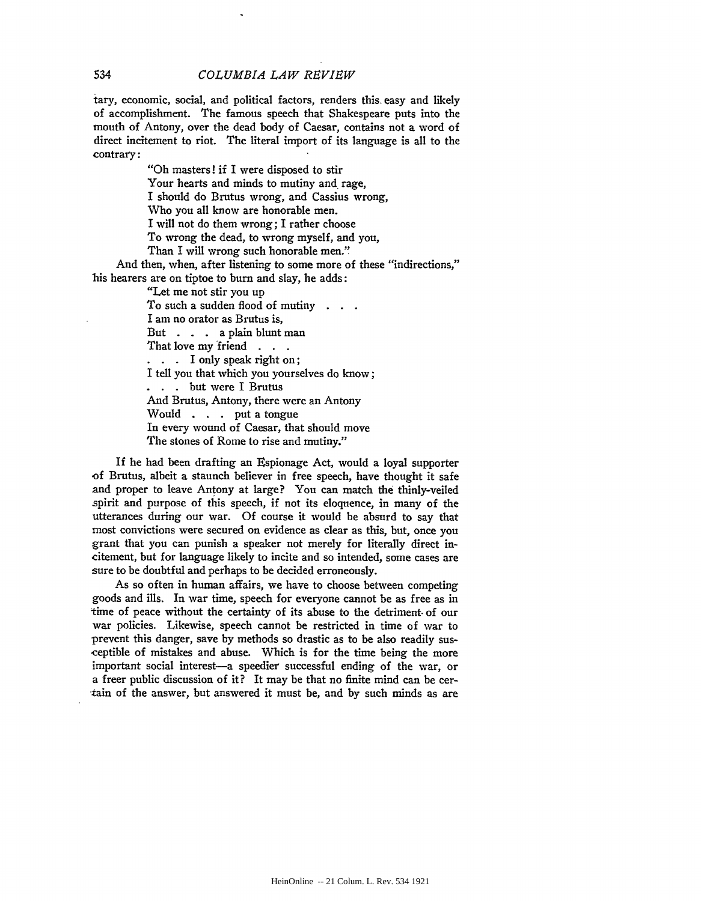tary, economic, social, and political factors, renders this. easy and likely of accomplishment. The famous speech that Shakespeare puts into the mouth of Antony, over the dead body of Caesar, contains not a word of direct incitement to riot. The literal import of its language is all to the contrary:

"Oh masters! if I were disposed to stir Your hearts and minds to mutiny and rage, I should do Brutus wrong, and Cassius wrong, Who you all know are honorable men. I will not do them wrong; I rather choose To wrong the dead, to wrong myself, and you, Than I will wrong such honorable men." And then, when, after listening to some more of these "indirections," his hearers are on tiptoe to **burn** and slay, he adds: "Let me not stir you up To such a sudden flood of mutiny . . . I am no orator as Brutus is, But **. . .** a plain blunt man That love my friend . . . . . . I only speak right on; I tell you that which you yourselves do know; . . . but were I Brutus And Brutus, Antony, there were an Antony Would **. . .** put a tongue In every wound of Caesar, that should move The stones of Rome to rise and mutiny."

If he had been drafting an Espionage Act, would a loyal supporter of Brutus, albeit a staunch believer in free speech, have thought it safe and proper to leave Antony at large? You can match the thinly-veiled spirit and purpose of this speech, if not its eloquence, in many of the utterances during our war. **Of** course it would be absurd to say that most convictions were secured on evidence as clear as this, but, once you grant that you can punish a speaker not merely for literally direct incitement, but for language likely to incite and so intended, some cases are sure to be doubtful and perhaps to be decided erroneously.

As so often in human affairs, we have to choose between competing goods and ills. In war time, speech for everyone cannot be as free as in time of peace without the certainty of its abuse to the detriment, of our war policies. Likewise, speech cannot be restricted in time of war to prevent this danger, save **by** methods so drastic as to be also readily sus- -ceptible of mistakes and abuse. Which is for the time being the more important social interest-a speedier successful ending of the war, or a freer public discussion of it? It may be that no finite mind can be cer- **-tain** of the answer, but answered it must be, and **by** such minds as are

534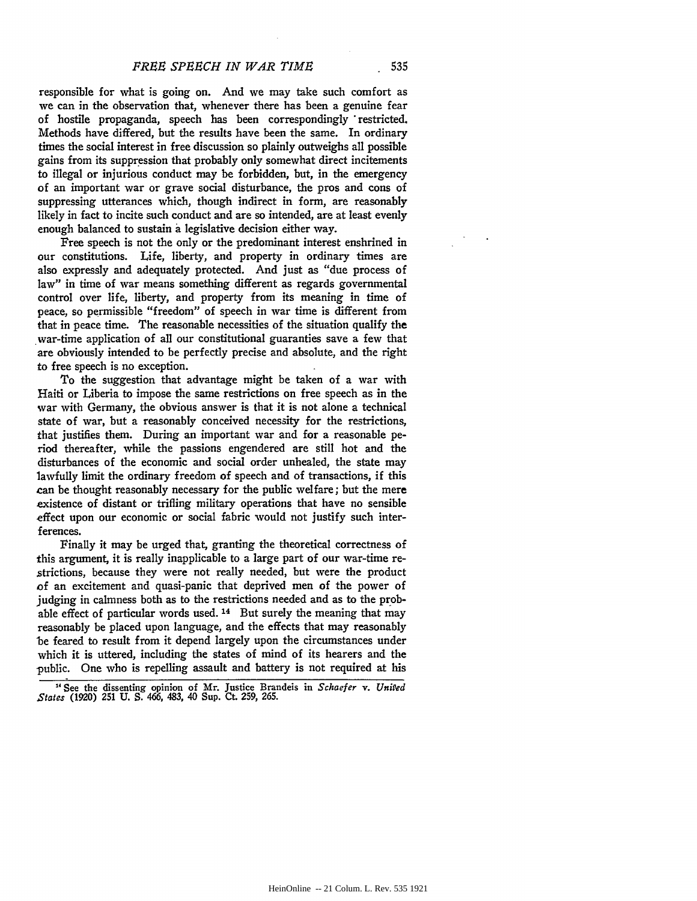responsible for what is going on. And we may take such comfort as we can in the observation that, whenever there has been a genuine fear of hostile propaganda, speech has been correspondingly 'restricted. Methods have differed, but the results have been the same. In ordinary times the social interest in free discussion so plainly outweighs all possible gains from its suppression that probably only somewhat direct incitements to illegal or injurious conduct may be forbidden, but, in the emergency of an important war or grave social disturbance, the pros and cons of suppressing utterances which, though indirect in form, are reasonably likely in fact to incite such conduct and are so intended, are at least evenly enough balanced to sustain a legislative decision either way.

Free speech is not the only or the predominant interest enshrined in our constitutions. Life, liberty, and property in ordinary times are also expressly and adequately protected. And just as "due process of law" in time of war means something different as regards governmental control over life, liberty, and property from its meaning in time of peace, so permissible "freedom" of speech in war time is different from that in peace time. The reasonable necessities of the situation qualify the war-time application of all our constitutional guaranties save a few that are obviously intended to be perfectly precise and absolute, and the right to free speech is no exception.

To the suggestion that advantage might be taken of a war with Haiti or Liberia to impose the same restrictions on free speech as in the war with Germany, the obvious answer is that it is not alone a technical state of war, but a reasonably conceived necessity for the restrictions, that justifies them. During an important war and for a reasonable period thereafter, while the passions engendered are still hot and the disturbances of the economic and social order unhealed, the state may lawfully limit the ordinary freedom of speech and of transactions, if this can be thought reasonably necessary for the public welfare; but the mere existence of distant or trifling military operations that have no sensible effect upon our economic or social fabric would not justify such interferences.

Finally it may be urged that, granting the theoretical correctness of this argument, it is really inapplicable to a large part of our war-time restrictions, because they were not really needed, but were the product of an excitement and quasi-panic that deprived men of the power of judging in calmness both as to the restrictions needed and as to the probable effect of particular words used.<sup>14</sup> But surely the meaning that may reasonably be placed upon language, and the effects that may reasonably be feared to result from it depend largely upon the circumstances under which it is uttered, including the states of mind of its hearers and the public. One who is repelling assault and battery is not required at his

<sup>&</sup>quot;See the dissenting opinion of Mr. Justice Brandeis in *Schaefer v. Unived States* (1920) 251 **U.** *S.* 466, 483, 40 Sup. Ct. 259, 265.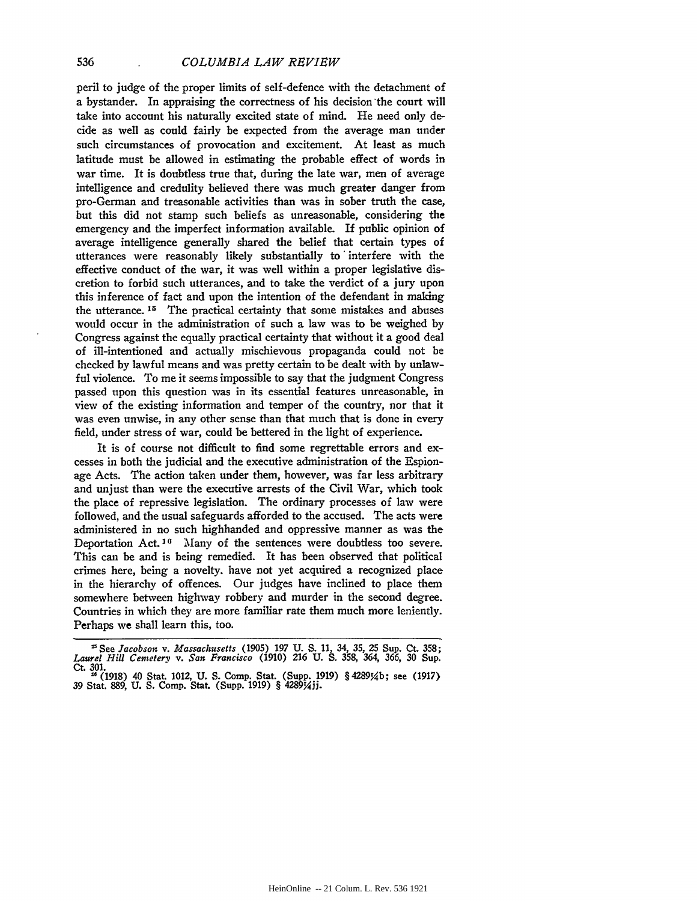peril to judge of the proper limits of self-defence with the detachment of a bystander. In appraising the correctness of his decision the court will take into account his naturally excited state of mind. He need only decide as well as could fairly be expected from the average man under such circumstances of provocation and excitement. At least as much latitude must be allowed in estimating the probable effect of words in war time. It is doubtless true that, during the late war, men of average intelligence and credulity believed there was much greater danger from pro-German and treasonable activities than was in sober truth the case, but this did not stamp such beliefs as unreasonable, considering the emergency and the imperfect information available. If public opinion of average intelligence generally shared the belief that certain types of utterances were reasonably likely substantially to'interfere with the effective conduct of the war, it was well within a proper legislative discretion to forbid such utterances, and to take the verdict of a jury upon this inference of fact and upon the intention of the defendant in making the utterance. **15** The practical certainty that some mistakes and abuses would occur in the administration of such a law was to be weighed **by** Congress against the equally practical certainty that without it a good deal of ill-intentioned and actually mischievous propaganda could not be checked **by** lawful means and was pretty certain to be dealt with **by** unlawful violence. To me it seems impossible to say that the judgment Congress passed upon this question was in its essential features unreasonable, in view of the existing information and temper of the country, nor that it was even unwise, in any other sense than that much that is done in every field, under stress of war, could be bettered in the light of experience.

It is of course not difficult to find some regrettable errors and excesses in both the judicial and the executive administration of the Espionage Acts. The action taken under them, however, was far less arbitrary and unjust than were the executive arrests of the Civil War, which took the place of repressive legislation. The ordinary processes of law were followed, and the usual safeguards afforded to the accused. The acts were administered in no such highhanded and oppressive manner as was the Deportation Act.<sup>16</sup> Many of the sentences were doubtless too severe. This can be and is being remedied. It has been observed that political crimes here, being a novelty, have not yet acquired a recognized place in the hierarchy of offences. Our judges have inclined to place them somewhere between highway robbery and murder in the second degree. Countries in which they are more familiar rate them much more leniently. Perhaps we shall learn this, too.

<sup>&</sup>quot;See *Jacobson v. Massachusetts* **(1905) 197 U. S. 11,** 34, **35, 25** Sup. Ct. **358;** *Laurel Hill Cemetery v. San Francisco* (1910) **216 U. S.** 358, 364, **366, 30** Sup. Ct. **301.**

**<sup>18 (1918)</sup>** 40 Stat. 1012, **U. S.** Conp. Stat. (Supp. **1919)** § 42893b; see (1917) **<sup>39</sup>**Stat. **889, U. S.** Comp. Stat. (Supp. **1919)** § **4289/41j.**